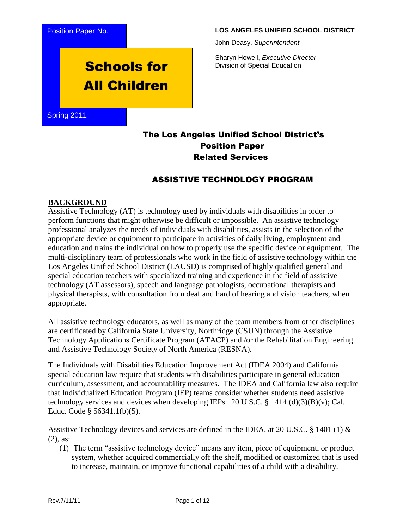

#### **LOS ANGELES UNIFIED SCHOOL DISTRICT**

John Deasy, *Superintendent*

Sharyn Howell, *Executive Director* Division of Special Education

# Schools for All Children

Spring 2011

## The Los Angeles Unified School District's Position Paper Related Services

### ASSISTIVE TECHNOLOGY PROGRAM

#### **BACKGROUND**

Assistive Technology (AT) is technology used by individuals with disabilities in order to perform functions that might otherwise be difficult or impossible. An assistive technology professional analyzes the needs of individuals with disabilities, assists in the selection of the appropriate device or equipment to participate in activities of daily living, employment and education and trains the individual on how to properly use the specific device or equipment. The multi-disciplinary team of professionals who work in the field of assistive technology within the Los Angeles Unified School District (LAUSD) is comprised of highly qualified general and special education teachers with specialized training and experience in the field of assistive technology (AT assessors), speech and language pathologists, occupational therapists and physical therapists, with consultation from deaf and hard of hearing and vision teachers, when appropriate.

All assistive technology educators, as well as many of the team members from other disciplines are certificated by California State University, Northridge (CSUN) through the Assistive Technology Applications Certificate Program (ATACP) and /or the Rehabilitation Engineering and Assistive Technology Society of North America (RESNA).

The Individuals with Disabilities Education Improvement Act (IDEA 2004) and California special education law require that students with disabilities participate in general education curriculum, assessment, and accountability measures. The IDEA and California law also require that Individualized Education Program (IEP) teams consider whether students need assistive technology services and devices when developing IEPs. 20 U.S.C.  $\S$  1414 (d)(3)(B)(v); Cal. Educ. Code § 56341.1(b)(5).

Assistive Technology devices and services are defined in the IDEA, at 20 U.S.C. § 1401 (1)  $\&$ (2), as:

(1) The term "assistive technology device" means any item, piece of equipment, or product system, whether acquired commercially off the shelf, modified or customized that is used to increase, maintain, or improve functional capabilities of a child with a disability.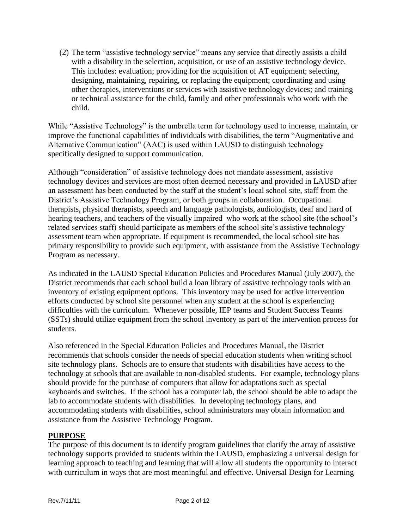(2) The term "assistive technology service" means any service that directly assists a child with a disability in the selection, acquisition, or use of an assistive technology device. This includes: evaluation; providing for the acquisition of AT equipment; selecting, designing, maintaining, repairing, or replacing the equipment; coordinating and using other therapies, interventions or services with assistive technology devices; and training or technical assistance for the child, family and other professionals who work with the child.

While "Assistive Technology" is the umbrella term for technology used to increase, maintain, or improve the functional capabilities of individuals with disabilities, the term "Augmentative and Alternative Communication" (AAC) is used within LAUSD to distinguish technology specifically designed to support communication.

Although "consideration" of assistive technology does not mandate assessment, assistive technology devices and services are most often deemed necessary and provided in LAUSD after an assessment has been conducted by the staff at the student's local school site, staff from the District's Assistive Technology Program, or both groups in collaboration. Occupational therapists, physical therapists, speech and language pathologists, audiologists, deaf and hard of hearing teachers, and teachers of the visually impaired who work at the school site (the school's related services staff) should participate as members of the school site's assistive technology assessment team when appropriate. If equipment is recommended, the local school site has primary responsibility to provide such equipment, with assistance from the Assistive Technology Program as necessary.

As indicated in the LAUSD Special Education Policies and Procedures Manual (July 2007), the District recommends that each school build a loan library of assistive technology tools with an inventory of existing equipment options. This inventory may be used for active intervention efforts conducted by school site personnel when any student at the school is experiencing difficulties with the curriculum. Whenever possible, IEP teams and Student Success Teams (SSTs) should utilize equipment from the school inventory as part of the intervention process for students.

Also referenced in the Special Education Policies and Procedures Manual, the District recommends that schools consider the needs of special education students when writing school site technology plans. Schools are to ensure that students with disabilities have access to the technology at schools that are available to non-disabled students. For example, technology plans should provide for the purchase of computers that allow for adaptations such as special keyboards and switches. If the school has a computer lab, the school should be able to adapt the lab to accommodate students with disabilities. In developing technology plans, and accommodating students with disabilities, school administrators may obtain information and assistance from the Assistive Technology Program.

#### **PURPOSE**

The purpose of this document is to identify program guidelines that clarify the array of assistive technology supports provided to students within the LAUSD, emphasizing a universal design for learning approach to teaching and learning that will allow all students the opportunity to interact with curriculum in ways that are most meaningful and effective. Universal Design for Learning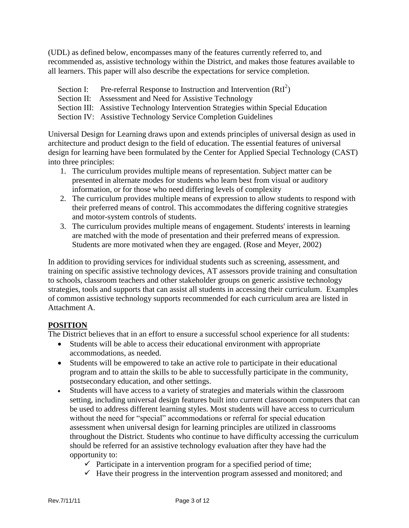(UDL) as defined below, encompasses many of the features currently referred to, and recommended as, assistive technology within the District, and makes those features available to all learners. This paper will also describe the expectations for service completion.

- Section I: Pre-referral Response to Instruction and Intervention  $(RtI^2)$
- Section II: Assessment and Need for Assistive Technology
- Section III: Assistive Technology Intervention Strategies within Special Education
- Section IV: Assistive Technology Service Completion Guidelines

Universal Design for Learning draws upon and extends principles of universal design as used in architecture and product design to the field of education. The essential features of universal design for learning have been formulated by the Center for Applied Special Technology (CAST) into three principles:

- 1. The curriculum provides multiple means of representation. Subject matter can be presented in alternate modes for students who learn best from visual or auditory information, or for those who need differing levels of complexity
- 2. The curriculum provides multiple means of expression to allow students to respond with their preferred means of control. This accommodates the differing cognitive strategies and motor-system controls of students.
- 3. The curriculum provides multiple means of engagement. Students' interests in learning are matched with the mode of presentation and their preferred means of expression. Students are more motivated when they are engaged. (Rose and Meyer, 2002)

In addition to providing services for individual students such as screening, assessment, and training on specific assistive technology devices, AT assessors provide training and consultation to schools, classroom teachers and other stakeholder groups on generic assistive technology strategies, tools and supports that can assist all students in accessing their curriculum. Examples of common assistive technology supports recommended for each curriculum area are listed in Attachment A.

#### **POSITION**

The District believes that in an effort to ensure a successful school experience for all students:

- Students will be able to access their educational environment with appropriate accommodations, as needed.
- Students will be empowered to take an active role to participate in their educational program and to attain the skills to be able to successfully participate in the community, postsecondary education, and other settings.
- Students will have access to a variety of strategies and materials within the classroom setting, including universal design features built into current classroom computers that can be used to address different learning styles. Most students will have access to curriculum without the need for "special" accommodations or referral for special education assessment when universal design for learning principles are utilized in classrooms throughout the District. Students who continue to have difficulty accessing the curriculum should be referred for an assistive technology evaluation after they have had the opportunity to:
	- $\checkmark$  Participate in a intervention program for a specified period of time;
	- $\checkmark$  Have their progress in the intervention program assessed and monitored; and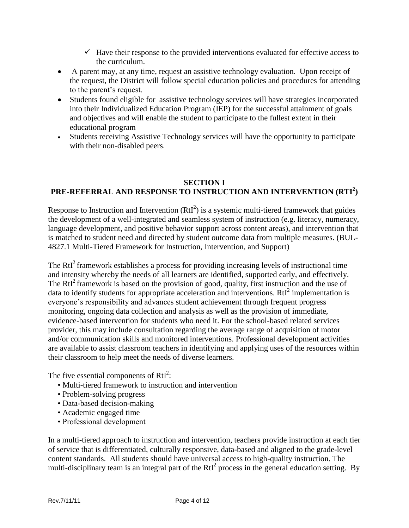- $\checkmark$  Have their response to the provided interventions evaluated for effective access to the curriculum.
- A parent may, at any time, request an assistive technology evaluation. Upon receipt of the request, the District will follow special education policies and procedures for attending to the parent's request.
- Students found eligible for assistive technology services will have strategies incorporated into their Individualized Education Program (IEP) for the successful attainment of goals and objectives and will enable the student to participate to the fullest extent in their educational program
- Students receiving Assistive Technology services will have the opportunity to participate with their non-disabled peers.

#### **SECTION I PRE-REFERRAL AND RESPONSE TO INSTRUCTION AND INTERVENTION (RTI<sup>2</sup> )**

Response to Instruction and Intervention  $(RtI^2)$  is a systemic multi-tiered framework that guides the development of a well-integrated and seamless system of instruction (e.g. literacy, numeracy, language development, and positive behavior support across content areas), and intervention that is matched to student need and directed by student outcome data from multiple measures. (BUL-4827.1 Multi-Tiered Framework for Instruction, Intervention, and Support)

The RtI<sup>2</sup> framework establishes a process for providing increasing levels of instructional time and intensity whereby the needs of all learners are identified, supported early, and effectively. The  $RtI<sup>2</sup>$  framework is based on the provision of good, quality, first instruction and the use of data to identify students for appropriate acceleration and interventions.  $RtI<sup>2</sup>$  implementation is everyone's responsibility and advances student achievement through frequent progress monitoring, ongoing data collection and analysis as well as the provision of immediate, evidence-based intervention for students who need it. For the school-based related services provider, this may include consultation regarding the average range of acquisition of motor and/or communication skills and monitored interventions. Professional development activities are available to assist classroom teachers in identifying and applying uses of the resources within their classroom to help meet the needs of diverse learners.

The five essential components of  $RtI<sup>2</sup>$ :

- Multi-tiered framework to instruction and intervention
- Problem-solving progress
- Data-based decision-making
- Academic engaged time
- Professional development

In a multi-tiered approach to instruction and intervention, teachers provide instruction at each tier of service that is differentiated, culturally responsive, data-based and aligned to the grade-level content standards. All students should have universal access to high-quality instruction. The multi-disciplinary team is an integral part of the  $Rt^{2}$  process in the general education setting. By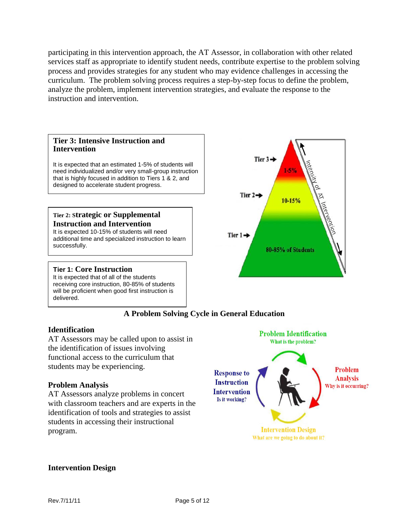participating in this intervention approach, the AT Assessor, in collaboration with other related services staff as appropriate to identify student needs, contribute expertise to the problem solving process and provides strategies for any student who may evidence challenges in accessing the curriculum. The problem solving process requires a step-by-step focus to define the problem, analyze the problem, implement intervention strategies, and evaluate the response to the instruction and intervention.



#### **A Problem Solving Cycle in General Education**

#### **Identification**

AT Assessors may be called upon to assist in the identification of issues involving functional access to the curriculum that students may be experiencing.

#### **Problem Analysis**

AT Assessors analyze problems in concert with classroom teachers and are experts in the identification of tools and strategies to assist students in accessing their instructional program.



#### **Intervention Design**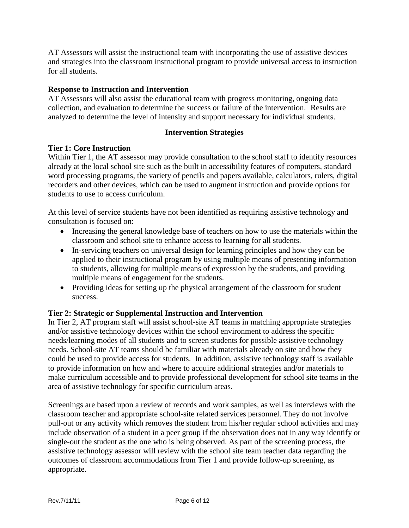AT Assessors will assist the instructional team with incorporating the use of assistive devices and strategies into the classroom instructional program to provide universal access to instruction for all students.

#### **Response to Instruction and Intervention**

AT Assessors will also assist the educational team with progress monitoring, ongoing data collection, and evaluation to determine the success or failure of the intervention. Results are analyzed to determine the level of intensity and support necessary for individual students.

#### **Intervention Strategies**

#### **Tier 1: Core Instruction**

Within Tier 1, the AT assessor may provide consultation to the school staff to identify resources already at the local school site such as the built in accessibility features of computers, standard word processing programs, the variety of pencils and papers available, calculators, rulers, digital recorders and other devices, which can be used to augment instruction and provide options for students to use to access curriculum.

At this level of service students have not been identified as requiring assistive technology and consultation is focused on:

- Increasing the general knowledge base of teachers on how to use the materials within the classroom and school site to enhance access to learning for all students.
- In-servicing teachers on universal design for learning principles and how they can be applied to their instructional program by using multiple means of presenting information to students, allowing for multiple means of expression by the students, and providing multiple means of engagement for the students.
- Providing ideas for setting up the physical arrangement of the classroom for student success.

#### **Tier 2: Strategic or Supplemental Instruction and Intervention**

In Tier 2, AT program staff will assist school-site AT teams in matching appropriate strategies and/or assistive technology devices within the school environment to address the specific needs/learning modes of all students and to screen students for possible assistive technology needs. School-site AT teams should be familiar with materials already on site and how they could be used to provide access for students. In addition, assistive technology staff is available to provide information on how and where to acquire additional strategies and/or materials to make curriculum accessible and to provide professional development for school site teams in the area of assistive technology for specific curriculum areas.

Screenings are based upon a review of records and work samples, as well as interviews with the classroom teacher and appropriate school-site related services personnel. They do not involve pull-out or any activity which removes the student from his/her regular school activities and may include observation of a student in a peer group if the observation does not in any way identify or single-out the student as the one who is being observed. As part of the screening process, the assistive technology assessor will review with the school site team teacher data regarding the outcomes of classroom accommodations from Tier 1 and provide follow-up screening, as appropriate.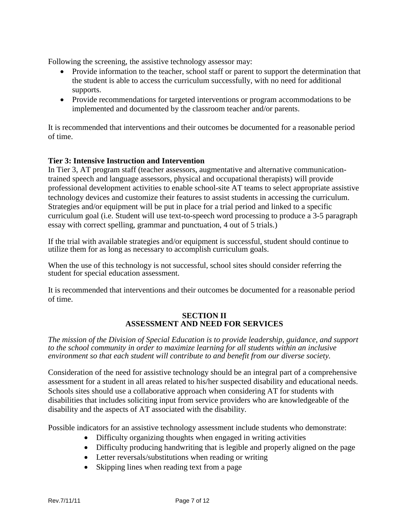Following the screening, the assistive technology assessor may:

- Provide information to the teacher, school staff or parent to support the determination that the student is able to access the curriculum successfully, with no need for additional supports.
- Provide recommendations for targeted interventions or program accommodations to be implemented and documented by the classroom teacher and/or parents.

It is recommended that interventions and their outcomes be documented for a reasonable period of time.

#### **Tier 3: Intensive Instruction and Intervention**

In Tier 3, AT program staff (teacher assessors, augmentative and alternative communicationtrained speech and language assessors, physical and occupational therapists) will provide professional development activities to enable school-site AT teams to select appropriate assistive technology devices and customize their features to assist students in accessing the curriculum. Strategies and/or equipment will be put in place for a trial period and linked to a specific curriculum goal (i.e. Student will use text-to-speech word processing to produce a 3-5 paragraph essay with correct spelling, grammar and punctuation, 4 out of 5 trials.)

If the trial with available strategies and/or equipment is successful, student should continue to utilize them for as long as necessary to accomplish curriculum goals.

When the use of this technology is not successful, school sites should consider referring the student for special education assessment.

It is recommended that interventions and their outcomes be documented for a reasonable period of time.

#### **SECTION II ASSESSMENT AND NEED FOR SERVICES**

*The mission of the Division of Special Education is to provide leadership, guidance, and support to the school community in order to maximize learning for all students within an inclusive environment so that each student will contribute to and benefit from our diverse society.* 

Consideration of the need for assistive technology should be an integral part of a comprehensive assessment for a student in all areas related to his/her suspected disability and educational needs. Schools sites should use a collaborative approach when considering AT for students with disabilities that includes soliciting input from service providers who are knowledgeable of the disability and the aspects of AT associated with the disability.

Possible indicators for an assistive technology assessment include students who demonstrate:

- Difficulty organizing thoughts when engaged in writing activities
- Difficulty producing handwriting that is legible and properly aligned on the page
- Letter reversals/substitutions when reading or writing
- Skipping lines when reading text from a page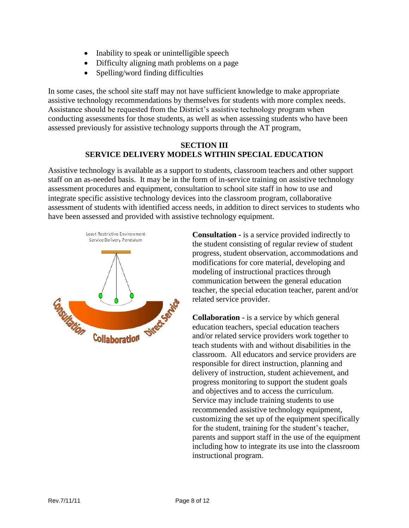- Inability to speak or unintelligible speech
- Difficulty aligning math problems on a page
- Spelling/word finding difficulties

In some cases, the school site staff may not have sufficient knowledge to make appropriate assistive technology recommendations by themselves for students with more complex needs. Assistance should be requested from the District's assistive technology program when conducting assessments for those students, as well as when assessing students who have been assessed previously for assistive technology supports through the AT program,

#### **SECTION III SERVICE DELIVERY MODELS WITHIN SPECIAL EDUCATION**

Assistive technology is available as a support to students, classroom teachers and other support staff on an as-needed basis. It may be in the form of in-service training on assistive technology assessment procedures and equipment, consultation to school site staff in how to use and integrate specific assistive technology devices into the classroom program, collaborative assessment of students with identified access needs, in addition to direct services to students who have been assessed and provided with assistive technology equipment.



**Consultation -** is a service provided indirectly to the student consisting of regular review of student progress, student observation, accommodations and modifications for core material, developing and modeling of instructional practices through communication between the general education teacher, the special education teacher, parent and/or related service provider.

**Collaboration -** is a service by which general education teachers, special education teachers and/or related service providers work together to teach students with and without disabilities in the classroom. All educators and service providers are responsible for direct instruction, planning and delivery of instruction, student achievement, and progress monitoring to support the student goals and objectives and to access the curriculum. Service may include training students to use recommended assistive technology equipment, customizing the set up of the equipment specifically for the student, training for the student's teacher, parents and support staff in the use of the equipment including how to integrate its use into the classroom instructional program.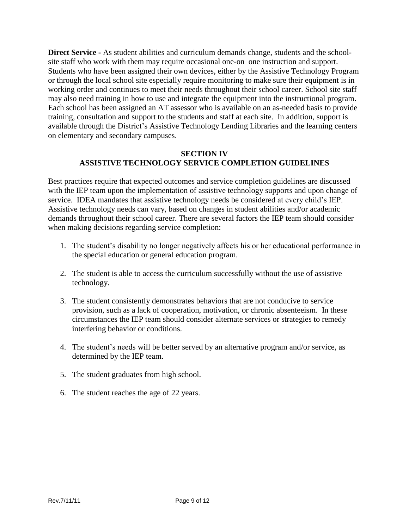**Direct Service -** As student abilities and curriculum demands change, students and the schoolsite staff who work with them may require occasional one-on–one instruction and support. Students who have been assigned their own devices, either by the Assistive Technology Program or through the local school site especially require monitoring to make sure their equipment is in working order and continues to meet their needs throughout their school career. School site staff may also need training in how to use and integrate the equipment into the instructional program. Each school has been assigned an AT assessor who is available on an as-needed basis to provide training, consultation and support to the students and staff at each site. In addition, support is available through the District's Assistive Technology Lending Libraries and the learning centers on elementary and secondary campuses.

#### **SECTION IV ASSISTIVE TECHNOLOGY SERVICE COMPLETION GUIDELINES**

Best practices require that expected outcomes and service completion guidelines are discussed with the IEP team upon the implementation of assistive technology supports and upon change of service. IDEA mandates that assistive technology needs be considered at every child's IEP. Assistive technology needs can vary, based on changes in student abilities and/or academic demands throughout their school career. There are several factors the IEP team should consider when making decisions regarding service completion:

- 1. The student's disability no longer negatively affects his or her educational performance in the special education or general education program.
- 2. The student is able to access the curriculum successfully without the use of assistive technology.
- 3. The student consistently demonstrates behaviors that are not conducive to service provision, such as a lack of cooperation, motivation, or chronic absenteeism. In these circumstances the IEP team should consider alternate services or strategies to remedy interfering behavior or conditions.
- 4. The student's needs will be better served by an alternative program and/or service, as determined by the IEP team.
- 5. The student graduates from high school.
- 6. The student reaches the age of 22 years.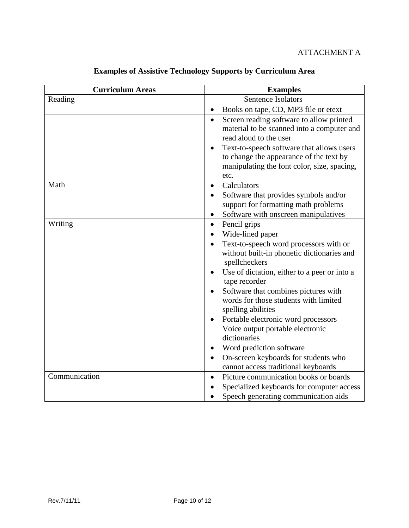#### ATTACHMENT A

| <b>Curriculum Areas</b> | <b>Examples</b>                                                                                                                                                                                                                                                                                                                                                                                                                                                                                                                                   |  |
|-------------------------|---------------------------------------------------------------------------------------------------------------------------------------------------------------------------------------------------------------------------------------------------------------------------------------------------------------------------------------------------------------------------------------------------------------------------------------------------------------------------------------------------------------------------------------------------|--|
| Reading                 | Sentence Isolators                                                                                                                                                                                                                                                                                                                                                                                                                                                                                                                                |  |
|                         | Books on tape, CD, MP3 file or etext<br>$\bullet$                                                                                                                                                                                                                                                                                                                                                                                                                                                                                                 |  |
|                         | Screen reading software to allow printed<br>$\bullet$<br>material to be scanned into a computer and<br>read aloud to the user<br>Text-to-speech software that allows users<br>to change the appearance of the text by<br>manipulating the font color, size, spacing,<br>etc.                                                                                                                                                                                                                                                                      |  |
| Math                    | Calculators<br>$\bullet$<br>Software that provides symbols and/or<br>support for formatting math problems<br>Software with onscreen manipulatives<br>$\bullet$                                                                                                                                                                                                                                                                                                                                                                                    |  |
| Writing                 | Pencil grips<br>$\bullet$<br>Wide-lined paper<br>Text-to-speech word processors with or<br>without built-in phonetic dictionaries and<br>spellcheckers<br>Use of dictation, either to a peer or into a<br>tape recorder<br>Software that combines pictures with<br>words for those students with limited<br>spelling abilities<br>Portable electronic word processors<br>Voice output portable electronic<br>dictionaries<br>Word prediction software<br>On-screen keyboards for students who<br>$\bullet$<br>cannot access traditional keyboards |  |
| Communication           | Picture communication books or boards<br>$\bullet$<br>Specialized keyboards for computer access<br>Speech generating communication aids                                                                                                                                                                                                                                                                                                                                                                                                           |  |
|                         |                                                                                                                                                                                                                                                                                                                                                                                                                                                                                                                                                   |  |

# **Examples of Assistive Technology Supports by Curriculum Area**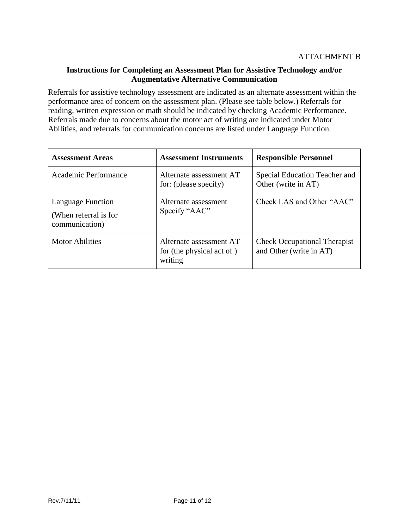#### **Instructions for Completing an Assessment Plan for Assistive Technology and/or Augmentative Alternative Communication**

Referrals for assistive technology assessment are indicated as an alternate assessment within the performance area of concern on the assessment plan. (Please see table below.) Referrals for reading, written expression or math should be indicated by checking Academic Performance. Referrals made due to concerns about the motor act of writing are indicated under Motor Abilities, and referrals for communication concerns are listed under Language Function.

| <b>Assessment Areas</b>                                             | <b>Assessment Instruments</b>                                   | <b>Responsible Personnel</b>                                   |
|---------------------------------------------------------------------|-----------------------------------------------------------------|----------------------------------------------------------------|
| Academic Performance                                                | Alternate assessment AT<br>for: (please specify)                | Special Education Teacher and<br>Other (write in AT)           |
| <b>Language Function</b><br>(When referral is for<br>communication) | Alternate assessment<br>Specify "AAC"                           | Check LAS and Other "AAC"                                      |
| <b>Motor Abilities</b>                                              | Alternate assessment AT<br>for (the physical act of)<br>writing | <b>Check Occupational Therapist</b><br>and Other (write in AT) |